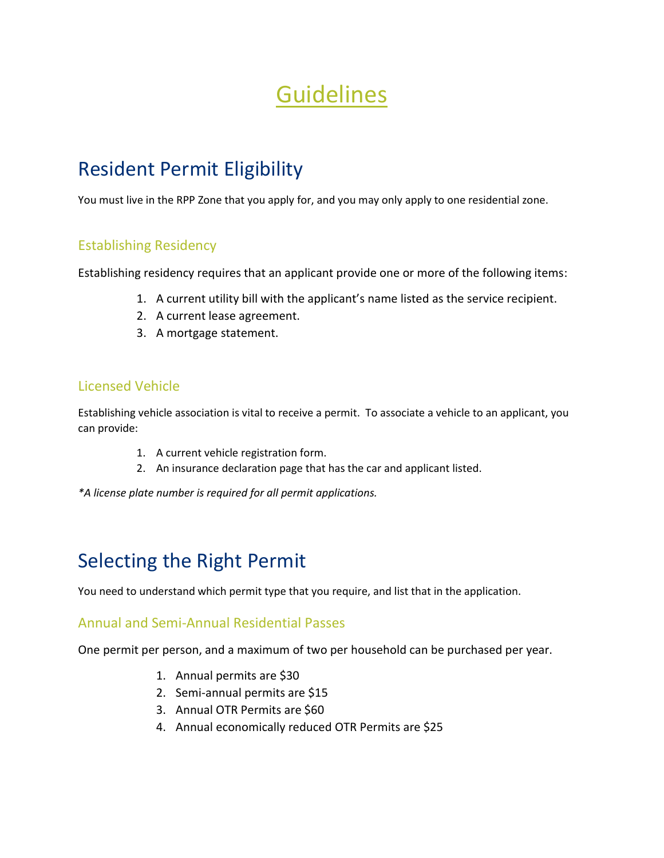# Guidelines

## Resident Permit Eligibility

You must live in the RPP Zone that you apply for, and you may only apply to one residential zone.

### Establishing Residency

Establishing residency requires that an applicant provide one or more of the following items:

- 1. A current utility bill with the applicant's name listed as the service recipient.
- 2. A current lease agreement.
- 3. A mortgage statement.

#### Licensed Vehicle

Establishing vehicle association is vital to receive a permit. To associate a vehicle to an applicant, you can provide:

- 1. A current vehicle registration form.
- 2. An insurance declaration page that has the car and applicant listed.

*\*A license plate number is required for all permit applications.*

### Selecting the Right Permit

You need to understand which permit type that you require, and list that in the application.

#### Annual and Semi-Annual Residential Passes

One permit per person, and a maximum of two per household can be purchased per year.

- 1. Annual permits are \$30
- 2. Semi-annual permits are \$15
- 3. Annual OTR Permits are \$60
- 4. Annual economically reduced OTR Permits are \$25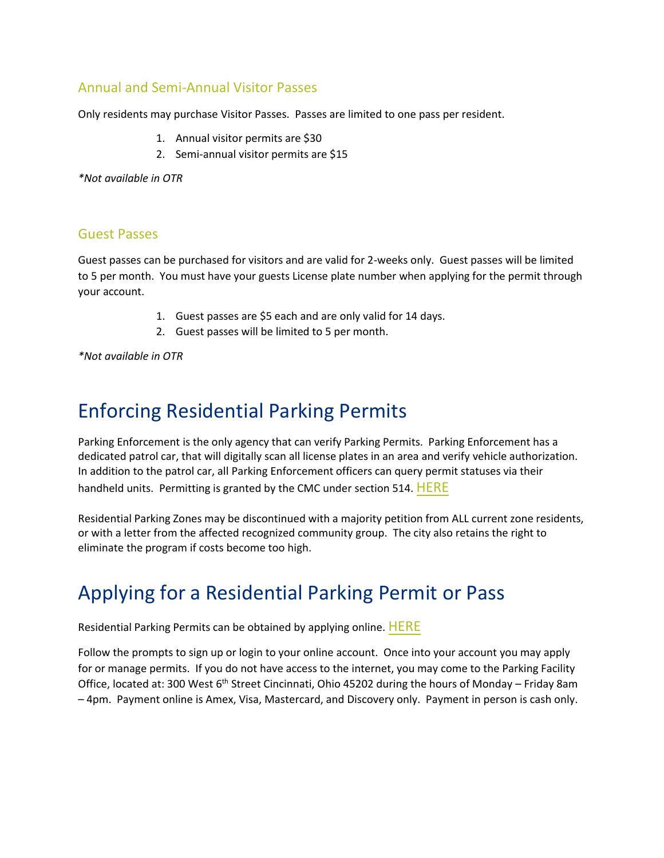#### Annual and Semi-Annual Visitor Passes

Only residents may purchase Visitor Passes. Passes are limited to one pass per resident.

- 1. Annual visitor permits are \$30
- 2. Semi-annual visitor permits are \$15

*\*Not available in OTR*

#### Guest Passes

Guest passes can be purchased for visitors and are valid for 2-weeks only. Guest passes will be limited to 5 per month. You must have your guests License plate number when applying for the permit through your account.

- 1. Guest passes are \$5 each and are only valid for 14 days.
- 2. Guest passes will be limited to 5 per month.

*\*Not available in OTR*

### Enforcing Residential Parking Permits

Parking Enforcement is the only agency that can verify Parking Permits. Parking Enforcement has a dedicated patrol car, that will digitally scan all license plates in an area and verify vehicle authorization. In addition to the patrol car, all Parking Enforcement officers can query permit statuses via their handheld units. Permitting is granted by the CMC under section 514. [HERE](https://library.municode.com/oh/cincinnati/codes/code_of_ordinances?nodeId=TITVTRCO_CH514PAPE)

Residential Parking Zones may be discontinued with a majority petition from ALL current zone residents, or with a letter from the affected recognized community group. The city also retains the right to eliminate the program if costs become too high.

### Applying for a Residential Parking Permit or Pass

Residential Parking Permits can be obtained by applying online. [HERE](https://cincinnati.opencounter.com/projects/954083/direct/residential-parking-permit-application)

Follow the prompts to sign up or login to your online account. Once into your account you may apply for or manage permits. If you do not have access to the internet, you may come to the Parking Facility Office, located at: 300 West 6<sup>th</sup> Street Cincinnati, Ohio 45202 during the hours of Monday - Friday 8am – 4pm. Payment online is Amex, Visa, Mastercard, and Discovery only. Payment in person is cash only.